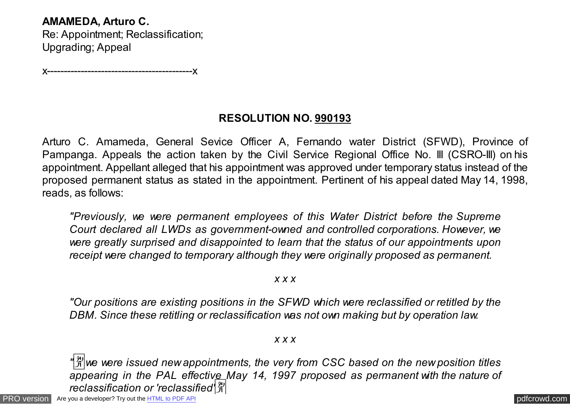**AMAMEDA, Arturo C.**

Re: Appointment; Reclassification; Upgrading; Appeal

x-------------------------------------------x

## **RESOLUTION NO. 990193**

Arturo C. Amameda, General Sevice Officer A, Fernando water District (SFWD), Province of Pampanga. Appeals the action taken by the Civil Service Regional Office No. III (CSRO-III) on his appointment. Appellant alleged that his appointment was approved under temporary status instead of the proposed permanent status as stated in the appointment. Pertinent of his appeal dated May 14, 1998, reads, as follows:

*"Previously, we were permanent employees of this Water District before the Supreme Court declared all LWDs as government-owned and controlled corporations. However, we were greatly surprised and disappointed to learn that the status of our appointments upon receipt were changed to temporary although they were originally proposed as permanent.*

*x x x*

*"Our positions are existing positions in the SFWD which were reclassified or retitled by the DBM. Since these retitling or reclassification was not own making but by operation law.*

*x x x*

 $\frac{m}{20}$ we were issued new appointments, the very from CSC based on the new position titles *appearing in the PAL effective May 14, 1997 proposed as permanent with the nature of reclassification or 'reclassified'*�

[PRO version](http://pdfcrowd.com/customize/) Are you a developer? Try out th[e HTML to PDF API](http://pdfcrowd.com/html-to-pdf-api/?ref=pdf) contract the contract of the HTML to PDF API [pdfcrowd.com](http://pdfcrowd.com)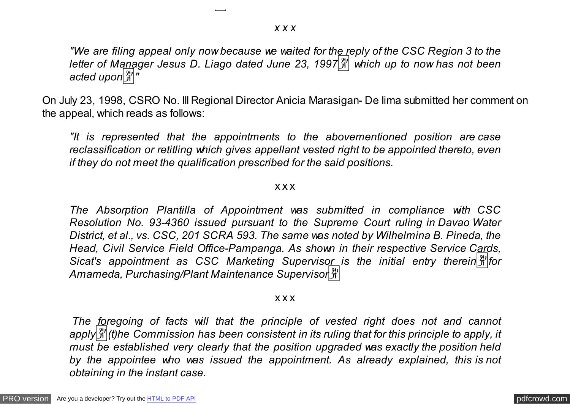*"We are filing appeal only now because we waited for the reply of the CSC Region 3 to the letter of Manager Jesus D. Liago dated June 23, 1997*� *which up to now has not been* acted upon<sup>[\*]</sup>]"

On July 23, 1998, CSRO No. III Regional Director Anicia Marasigan- De lima submitted her comment on the appeal, which reads as follows:

*"It is represented that the appointments to the abovementioned position are case reclassification or retitling which gives appellant vested right to be appointed thereto, even if they do not meet the qualification prescribed for the said positions.*

## x x x

*The Absorption Plantilla of Appointment was submitted in compliance with CSC Resolution No. 93-4360 issued pursuant to the Supreme Court ruling in Davao Water District, et al., vs. CSC, 201 SCRA 593. The same was noted by Wilhelmina B. Pineda, the Head, Civil Service Field Office-Pampanga. As shown in their respective Service Cards, Sicat's appointment as CSC Marketing Supervisor is the initial entry therein*�*for Amameda, Purchasing/Plant Maintenance Supervisor*�

## x x x

*The foregoing of facts will that the principle of vested right does not and cannot apply*�*(t)he Commission has been consistent in its ruling that for this principle to apply, it must be established very clearly that the position upgraded was exactly the position held by the appointee who was issued the appointment. As already explained, this is not obtaining in the instant case.*

*reclassification or 'reclassified'*�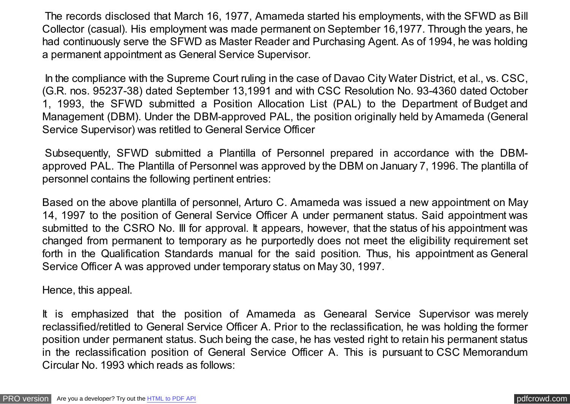The records disclosed that March 16, 1977, Amameda started his employments, with the SFWD as Bill Collector (casual). His employment was made permanent on September 16,1977. Through the years, he had continuously serve the SFWD as Master Reader and Purchasing Agent. As of 1994, he was holding a permanent appointment as General Service Supervisor.

In the compliance with the Supreme Court ruling in the case of Davao City Water District, et al., vs. CSC, (G.R. nos. 95237-38) dated September 13,1991 and with CSC Resolution No. 93-4360 dated October 1, 1993, the SFWD submitted a Position Allocation List (PAL) to the Department of Budget and Management (DBM). Under the DBM-approved PAL, the position originally held by Amameda (General Service Supervisor) was retitled to General Service Officer

Subsequently, SFWD submitted a Plantilla of Personnel prepared in accordance with the DBMapproved PAL. The Plantilla of Personnel was approved by the DBM on January 7, 1996. The plantilla of personnel contains the following pertinent entries:

Based on the above plantilla of personnel, Arturo C. Amameda was issued a new appointment on May 14, 1997 to the position of General Service Officer A under permanent status. Said appointment was submitted to the CSRO No. III for approval. It appears, however, that the status of his appointment was changed from permanent to temporary as he purportedly does not meet the eligibility requirement set forth in the Qualification Standards manual for the said position. Thus, his appointment as General Service Officer A was approved under temporary status on May 30, 1997.

Hence, this appeal.

It is emphasized that the position of Amameda as Genearal Service Supervisor was merely reclassified/retitled to General Service Officer A. Prior to the reclassification, he was holding the former position under permanent status. Such being the case, he has vested right to retain his permanent status in the reclassification position of General Service Officer A. This is pursuant to CSC Memorandum Circular No. 1993 which reads as follows: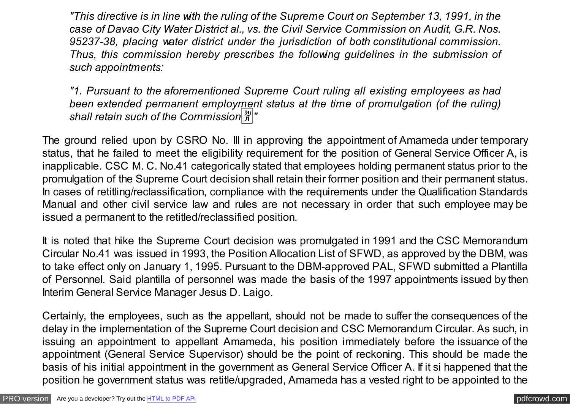*"This directive is in line with the ruling of the Supreme Court on September 13, 1991, in the case of Davao City Water District al., vs. the Civil Service Commission on Audit, G.R. Nos. 95237-38, placing water district under the jurisdiction of both constitutional commission. Thus, this commission hereby prescribes the following guidelines in the submission of such appointments:*

*"1. Pursuant to the aforementioned Supreme Court ruling all existing employees as had been extended permanent employment status at the time of promulgation (of the ruling) shall retain such of the Commission*�*"*

The ground relied upon by CSRO No. III in approving the appointment of Amameda under temporary status, that he failed to meet the eligibility requirement for the position of General Service Officer A, is inapplicable. CSC M. C. No.41 categorically stated that employees holding permanent status prior to the promulgation of the Supreme Court decision shall retain their former position and their permanent status. In cases of retitling/reclassification, compliance with the requirements under the Qualification Standards Manual and other civil service law and rules are not necessary in order that such employee may be issued a permanent to the retitled/reclassified position.

It is noted that hike the Supreme Court decision was promulgated in 1991 and the CSC Memorandum Circular No.41 was issued in 1993, the Position Allocation List of SFWD, as approved by the DBM, was to take effect only on January 1, 1995. Pursuant to the DBM-approved PAL, SFWD submitted a Plantilla of Personnel. Said plantilla of personnel was made the basis of the 1997 appointments issued by then Interim General Service Manager Jesus D. Laigo.

Certainly, the employees, such as the appellant, should not be made to suffer the consequences of the delay in the implementation of the Supreme Court decision and CSC Memorandum Circular. As such, in issuing an appointment to appellant Amameda, his position immediately before the issuance of the appointment (General Service Supervisor) should be the point of reckoning. This should be made the basis of his initial appointment in the government as General Service Officer A. If it si happened that the position he government status was retitle/upgraded, Amameda has a vested right to be appointed to the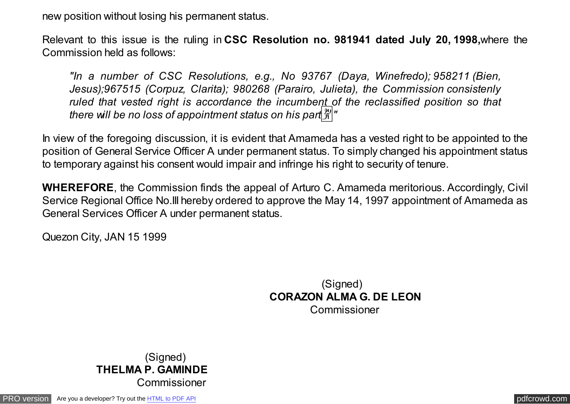new position without losing his permanent status.

Relevant to this issue is the ruling in **CSC Resolution no. 981941 dated July 20, 1998,**where the Commission held as follows:

*"In a number of CSC Resolutions, e.g., No 93767 (Daya, Winefredo); 958211 (Bien, Jesus);967515 (Corpuz, Clarita); 980268 (Parairo, Julieta), the Commission consistenly ruled that vested right is accordance the incumbent of the reclassified position so that there will be no loss of appointment status on his part*  $\frac{29}{21}$ *"* 

In view of the foregoing discussion, it is evident that Amameda has a vested right to be appointed to the position of General Service Officer A under permanent status. To simply changed his appointment status to temporary against his consent would impair and infringe his right to security of tenure.

**WHEREFORE**, the Commission finds the appeal of Arturo C. Amameda meritorious. Accordingly, Civil Service Regional Office No.III hereby ordered to approve the May 14, 1997 appointment of Amameda as General Services Officer A under permanent status.

Quezon City, JAN 15 1999

 (Signed)  **CORAZON ALMA G. DE LEON** Commissioner

 (Signed) **THELMA P. GAMINDE Commissioner**